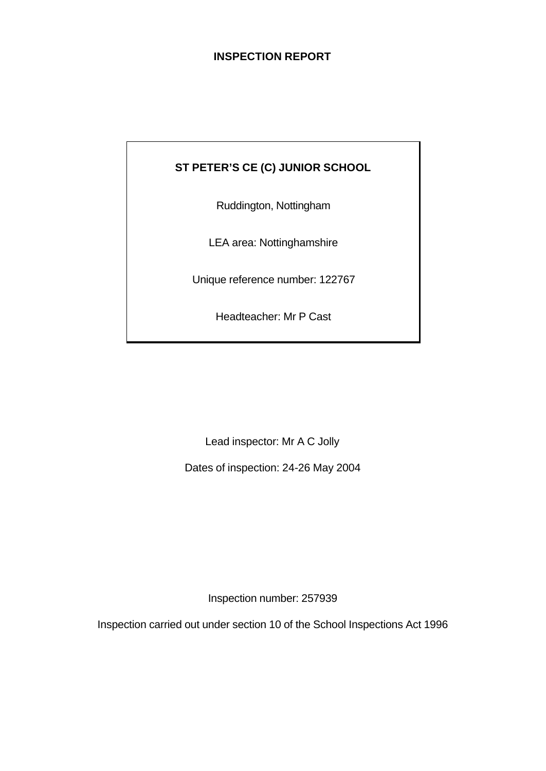# **INSPECTION REPORT**

# **ST PETER'S CE (C) JUNIOR SCHOOL**

Ruddington, Nottingham

LEA area: Nottinghamshire

Unique reference number: 122767

Headteacher: Mr P Cast

Lead inspector: Mr A C Jolly

Dates of inspection: 24-26 May 2004

Inspection number: 257939

Inspection carried out under section 10 of the School Inspections Act 1996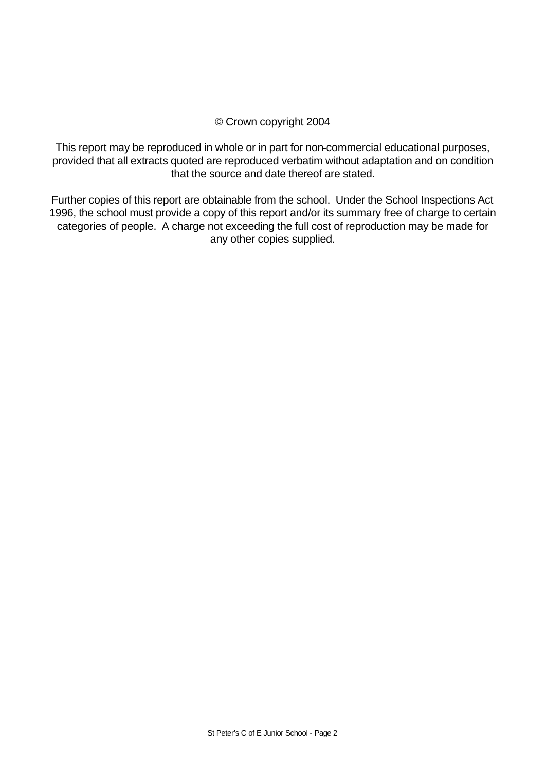# © Crown copyright 2004

This report may be reproduced in whole or in part for non-commercial educational purposes, provided that all extracts quoted are reproduced verbatim without adaptation and on condition that the source and date thereof are stated.

Further copies of this report are obtainable from the school. Under the School Inspections Act 1996, the school must provide a copy of this report and/or its summary free of charge to certain categories of people. A charge not exceeding the full cost of reproduction may be made for any other copies supplied.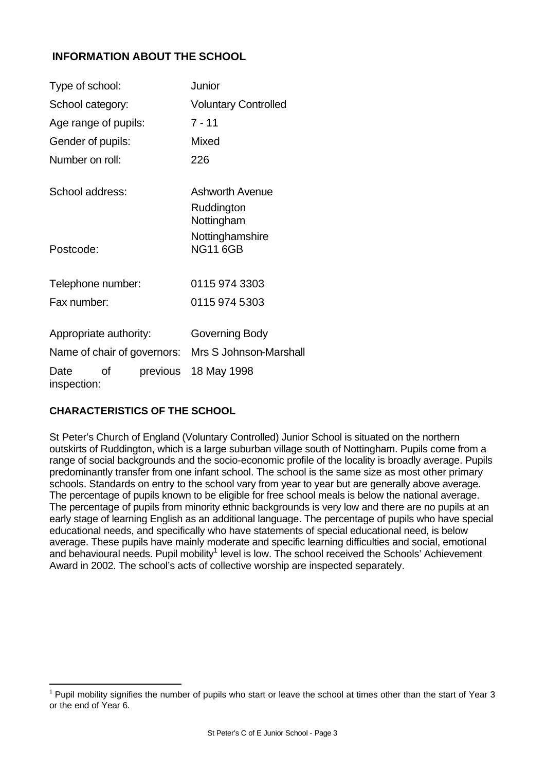# **INFORMATION ABOUT THE SCHOOL**

| Type of school:             |          | Junior                                             |
|-----------------------------|----------|----------------------------------------------------|
| School category:            |          | <b>Voluntary Controlled</b>                        |
| Age range of pupils:        |          | $7 - 11$                                           |
| Gender of pupils:           |          | Mixed                                              |
| Number on roll:             |          | 226                                                |
| School address:             |          | <b>Ashworth Avenue</b><br>Ruddington<br>Nottingham |
| Postcode:                   |          | Nottinghamshire<br><b>NG11 6GB</b>                 |
| Telephone number:           |          | 0115 974 3303                                      |
| Fax number:                 |          | 0115 974 5303                                      |
| Appropriate authority:      |          | Governing Body                                     |
| Name of chair of governors: |          | Mrs S Johnson-Marshall                             |
| οf<br>Date<br>inspection:   | previous | 18 May 1998                                        |

# **CHARACTERISTICS OF THE SCHOOL**

St Peter's Church of England (Voluntary Controlled) Junior School is situated on the northern outskirts of Ruddington, which is a large suburban village south of Nottingham. Pupils come from a range of social backgrounds and the socio-economic profile of the locality is broadly average. Pupils predominantly transfer from one infant school. The school is the same size as most other primary schools. Standards on entry to the school vary from year to year but are generally above average. The percentage of pupils known to be eligible for free school meals is below the national average. The percentage of pupils from minority ethnic backgrounds is very low and there are no pupils at an early stage of learning English as an additional language. The percentage of pupils who have special educational needs, and specifically who have statements of special educational need, is below average. These pupils have mainly moderate and specific learning difficulties and social, emotional and behavioural needs. Pupil mobility<sup>1</sup> level is low. The school received the Schools' Achievement Award in 2002. The school's acts of collective worship are inspected separately.

 $1$  Pupil mobility signifies the number of pupils who start or leave the school at times other than the start of Year 3 or the end of Year 6.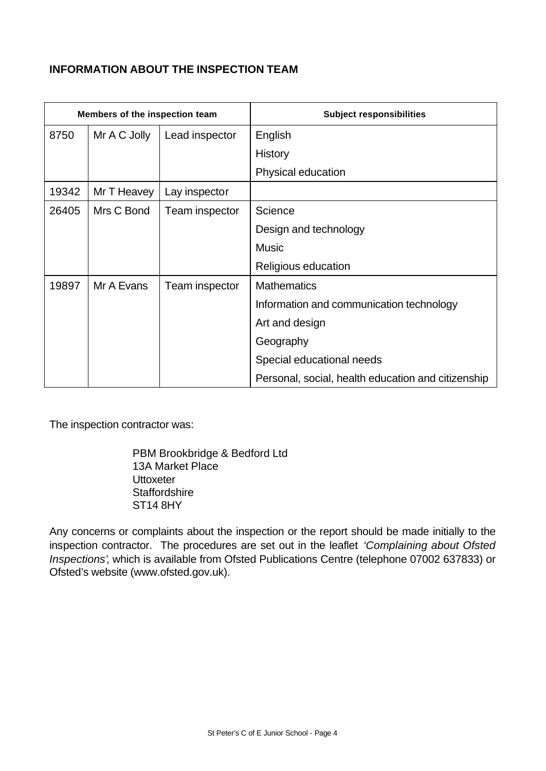# **INFORMATION ABOUT THE INSPECTION TEAM**

| Members of the inspection team |              |                | <b>Subject responsibilities</b>                    |
|--------------------------------|--------------|----------------|----------------------------------------------------|
| 8750                           | Mr A C Jolly | Lead inspector | English                                            |
|                                |              |                | <b>History</b>                                     |
|                                |              |                | Physical education                                 |
| 19342                          | Mr T Heavey  | Lay inspector  |                                                    |
| 26405                          | Mrs C Bond   | Team inspector | Science                                            |
|                                |              |                | Design and technology                              |
|                                |              |                | <b>Music</b>                                       |
|                                |              |                | Religious education                                |
| 19897                          | Mr A Evans   | Team inspector | <b>Mathematics</b>                                 |
|                                |              |                | Information and communication technology           |
|                                |              |                | Art and design                                     |
|                                |              |                | Geography                                          |
|                                |              |                | Special educational needs                          |
|                                |              |                | Personal, social, health education and citizenship |

The inspection contractor was:

PBM Brookbridge & Bedford Ltd 13A Market Place **Uttoxeter Staffordshire** ST14 8HY

Any concerns or complaints about the inspection or the report should be made initially to the inspection contractor. The procedures are set out in the leaflet *'Complaining about Ofsted Inspections'*, which is available from Ofsted Publications Centre (telephone 07002 637833) or Ofsted's website (www.ofsted.gov.uk).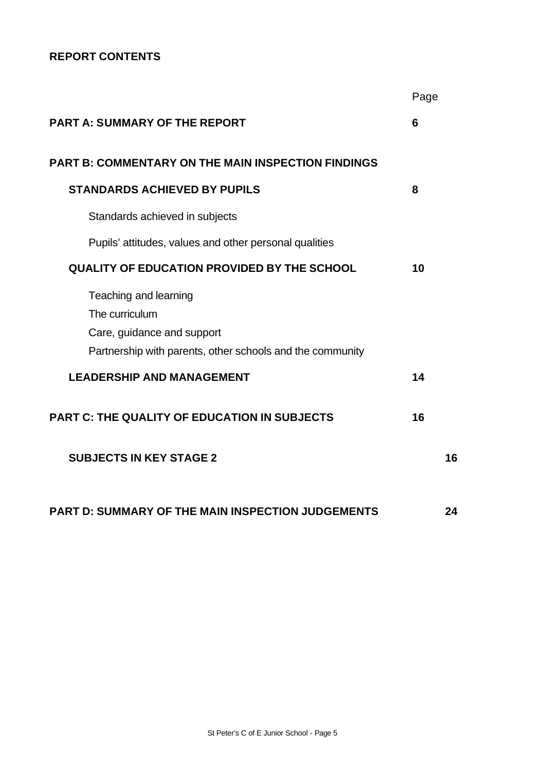# **REPORT CONTENTS**

|                                                                                                                                    | Page |    |
|------------------------------------------------------------------------------------------------------------------------------------|------|----|
| <b>PART A: SUMMARY OF THE REPORT</b>                                                                                               | 6    |    |
| <b>PART B: COMMENTARY ON THE MAIN INSPECTION FINDINGS</b>                                                                          |      |    |
| <b>STANDARDS ACHIEVED BY PUPILS</b>                                                                                                | 8    |    |
| Standards achieved in subjects                                                                                                     |      |    |
| Pupils' attitudes, values and other personal qualities                                                                             |      |    |
| <b>QUALITY OF EDUCATION PROVIDED BY THE SCHOOL</b>                                                                                 | 10   |    |
| Teaching and learning<br>The curriculum<br>Care, guidance and support<br>Partnership with parents, other schools and the community |      |    |
| <b>LEADERSHIP AND MANAGEMENT</b>                                                                                                   | 14   |    |
| <b>PART C: THE QUALITY OF EDUCATION IN SUBJECTS</b>                                                                                | 16   |    |
| <b>SUBJECTS IN KEY STAGE 2</b>                                                                                                     |      | 16 |
| <b>PART D: SUMMARY OF THE MAIN INSPECTION JUDGEMENTS</b>                                                                           |      | 24 |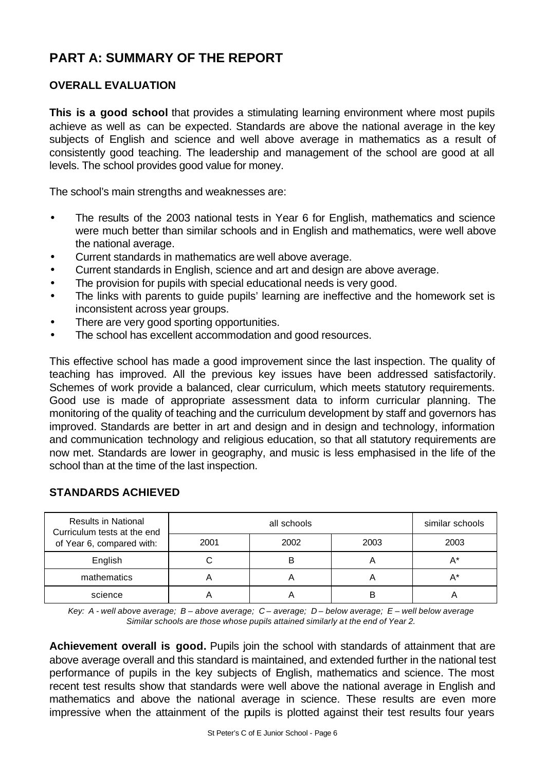# **PART A: SUMMARY OF THE REPORT**

# **OVERALL EVALUATION**

**This is a good school** that provides a stimulating learning environment where most pupils achieve as well as can be expected. Standards are above the national average in the key subjects of English and science and well above average in mathematics as a result of consistently good teaching. The leadership and management of the school are good at all levels. The school provides good value for money.

The school's main strengths and weaknesses are:

- The results of the 2003 national tests in Year 6 for English, mathematics and science were much better than similar schools and in English and mathematics, were well above the national average.
- Current standards in mathematics are well above average.
- Current standards in English, science and art and design are above average.
- The provision for pupils with special educational needs is very good.
- The links with parents to guide pupils' learning are ineffective and the homework set is inconsistent across year groups.
- There are very good sporting opportunities.
- The school has excellent accommodation and good resources.

This effective school has made a good improvement since the last inspection. The quality of teaching has improved. All the previous key issues have been addressed satisfactorily. Schemes of work provide a balanced, clear curriculum, which meets statutory requirements. Good use is made of appropriate assessment data to inform curricular planning. The monitoring of the quality of teaching and the curriculum development by staff and governors has improved. Standards are better in art and design and in design and technology, information and communication technology and religious education, so that all statutory requirements are now met. Standards are lower in geography, and music is less emphasised in the life of the school than at the time of the last inspection.

| <b>Results in National</b><br>Curriculum tests at the end |      | similar schools |      |      |
|-----------------------------------------------------------|------|-----------------|------|------|
| of Year 6, compared with:                                 | 2001 | 2002            | 2003 | 2003 |
| English                                                   |      |                 | Α    | A*   |
| mathematics                                               |      |                 | Α    | A*   |
| science                                                   |      |                 | B    |      |

# **STANDARDS ACHIEVED**

*Key: A - well above average; B – above average; C – average; D – below average; E – well below average Similar schools are those whose pupils attained similarly at the end of Year 2.*

**Achievement overall is good.** Pupils join the school with standards of attainment that are above average overall and this standard is maintained, and extended further in the national test performance of pupils in the key subjects of English, mathematics and science. The most recent test results show that standards were well above the national average in English and mathematics and above the national average in science. These results are even more impressive when the attainment of the pupils is plotted against their test results four years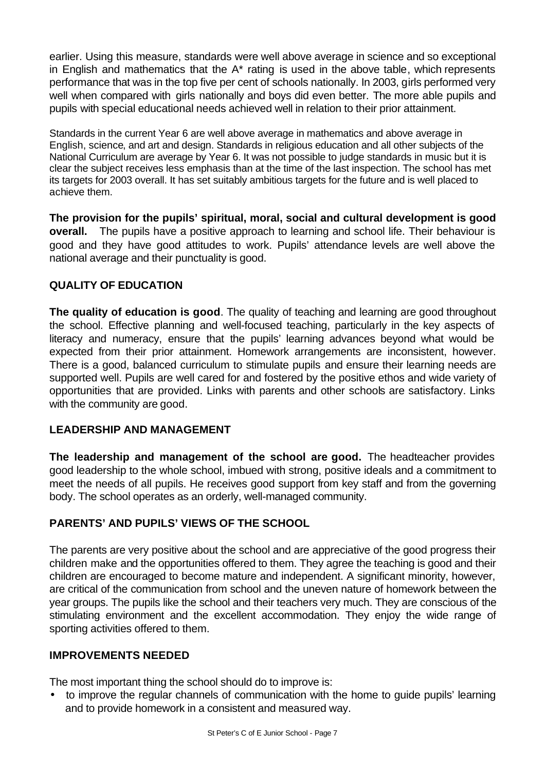earlier. Using this measure, standards were well above average in science and so exceptional in English and mathematics that the A\* rating is used in the above table, which represents performance that was in the top five per cent of schools nationally. In 2003, girls performed very well when compared with girls nationally and boys did even better. The more able pupils and pupils with special educational needs achieved well in relation to their prior attainment.

Standards in the current Year 6 are well above average in mathematics and above average in English, science, and art and design. Standards in religious education and all other subjects of the National Curriculum are average by Year 6. It was not possible to judge standards in music but it is clear the subject receives less emphasis than at the time of the last inspection. The school has met its targets for 2003 overall. It has set suitably ambitious targets for the future and is well placed to achieve them.

**The provision for the pupils' spiritual, moral, social and cultural development is good overall.** The pupils have a positive approach to learning and school life. Their behaviour is good and they have good attitudes to work. Pupils' attendance levels are well above the national average and their punctuality is good.

# **QUALITY OF EDUCATION**

**The quality of education is good**. The quality of teaching and learning are good throughout the school. Effective planning and well-focused teaching, particularly in the key aspects of literacy and numeracy, ensure that the pupils' learning advances beyond what would be expected from their prior attainment. Homework arrangements are inconsistent, however. There is a good, balanced curriculum to stimulate pupils and ensure their learning needs are supported well. Pupils are well cared for and fostered by the positive ethos and wide variety of opportunities that are provided. Links with parents and other schools are satisfactory. Links with the community are good.

# **LEADERSHIP AND MANAGEMENT**

**The leadership and management of the school are good.** The headteacher provides good leadership to the whole school, imbued with strong, positive ideals and a commitment to meet the needs of all pupils. He receives good support from key staff and from the governing body. The school operates as an orderly, well-managed community.

# **PARENTS' AND PUPILS' VIEWS OF THE SCHOOL**

The parents are very positive about the school and are appreciative of the good progress their children make and the opportunities offered to them. They agree the teaching is good and their children are encouraged to become mature and independent. A significant minority, however, are critical of the communication from school and the uneven nature of homework between the year groups. The pupils like the school and their teachers very much. They are conscious of the stimulating environment and the excellent accommodation. They enjoy the wide range of sporting activities offered to them.

# **IMPROVEMENTS NEEDED**

The most important thing the school should do to improve is:

• to improve the regular channels of communication with the home to guide pupils' learning and to provide homework in a consistent and measured way.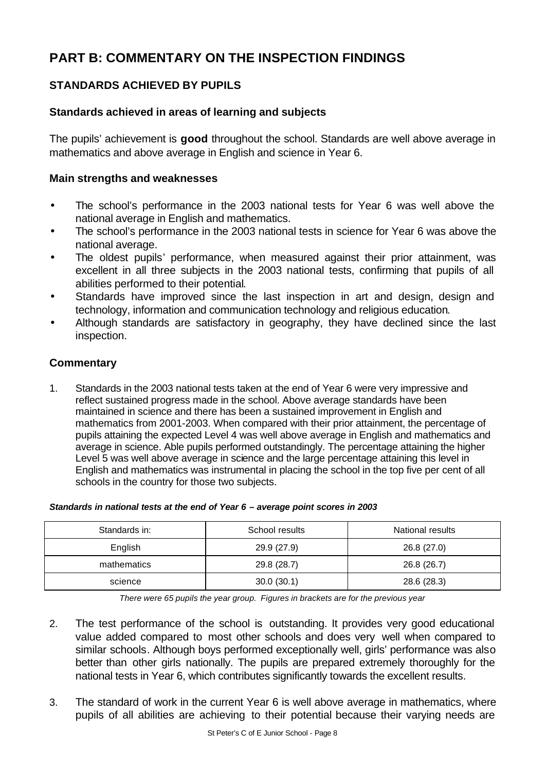# **PART B: COMMENTARY ON THE INSPECTION FINDINGS**

# **STANDARDS ACHIEVED BY PUPILS**

# **Standards achieved in areas of learning and subjects**

The pupils' achievement is **good** throughout the school. Standards are well above average in mathematics and above average in English and science in Year 6.

### **Main strengths and weaknesses**

- The school's performance in the 2003 national tests for Year 6 was well above the national average in English and mathematics.
- The school's performance in the 2003 national tests in science for Year 6 was above the national average.
- The oldest pupils' performance, when measured against their prior attainment, was excellent in all three subjects in the 2003 national tests, confirming that pupils of all abilities performed to their potential.
- Standards have improved since the last inspection in art and design, design and technology, information and communication technology and religious education.
- Although standards are satisfactory in geography, they have declined since the last inspection.

# **Commentary**

1. Standards in the 2003 national tests taken at the end of Year 6 were very impressive and reflect sustained progress made in the school. Above average standards have been maintained in science and there has been a sustained improvement in English and mathematics from 2001-2003. When compared with their prior attainment, the percentage of pupils attaining the expected Level 4 was well above average in English and mathematics and average in science. Able pupils performed outstandingly. The percentage attaining the higher Level 5 was well above average in science and the large percentage attaining this level in English and mathematics was instrumental in placing the school in the top five per cent of all schools in the country for those two subjects.

| Standards in: | School results | National results |
|---------------|----------------|------------------|
| English       | 29.9 (27.9)    | 26.8 (27.0)      |
| mathematics   | 29.8 (28.7)    | 26.8 (26.7)      |

#### *Standards in national tests at the end of Year 6 – average point scores in 2003*

*There were 65 pupils the year group. Figures in brackets are for the previous year*

science 10 30.0 (30.1) 30.0 (30.1) 28.6 (28.3)

- 2. The test performance of the school is outstanding. It provides very good educational value added compared to most other schools and does very well when compared to similar schools. Although boys performed exceptionally well, girls' performance was also better than other girls nationally. The pupils are prepared extremely thoroughly for the national tests in Year 6, which contributes significantly towards the excellent results.
- 3. The standard of work in the current Year 6 is well above average in mathematics, where pupils of all abilities are achieving to their potential because their varying needs are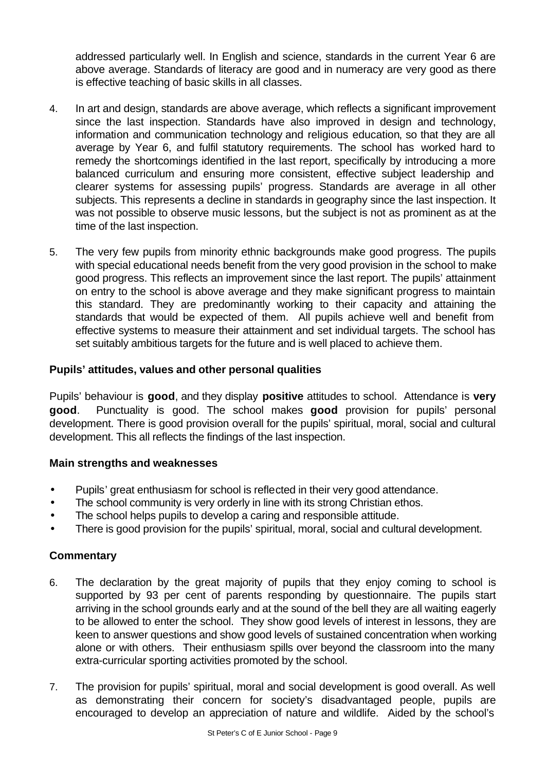addressed particularly well. In English and science, standards in the current Year 6 are above average. Standards of literacy are good and in numeracy are very good as there is effective teaching of basic skills in all classes.

- 4. In art and design, standards are above average, which reflects a significant improvement since the last inspection. Standards have also improved in design and technology, information and communication technology and religious education, so that they are all average by Year 6, and fulfil statutory requirements. The school has worked hard to remedy the shortcomings identified in the last report, specifically by introducing a more balanced curriculum and ensuring more consistent, effective subject leadership and clearer systems for assessing pupils' progress. Standards are average in all other subjects. This represents a decline in standards in geography since the last inspection. It was not possible to observe music lessons, but the subject is not as prominent as at the time of the last inspection.
- 5. The very few pupils from minority ethnic backgrounds make good progress. The pupils with special educational needs benefit from the very good provision in the school to make good progress. This reflects an improvement since the last report. The pupils' attainment on entry to the school is above average and they make significant progress to maintain this standard. They are predominantly working to their capacity and attaining the standards that would be expected of them. All pupils achieve well and benefit from effective systems to measure their attainment and set individual targets. The school has set suitably ambitious targets for the future and is well placed to achieve them.

# **Pupils' attitudes, values and other personal qualities**

Pupils' behaviour is **good**, and they display **positive** attitudes to school. Attendance is **very good**. Punctuality is good. The school makes **good** provision for pupils' personal development. There is good provision overall for the pupils' spiritual, moral, social and cultural development. This all reflects the findings of the last inspection.

# **Main strengths and weaknesses**

- Pupils' great enthusiasm for school is reflected in their very good attendance.
- The school community is very orderly in line with its strong Christian ethos.
- The school helps pupils to develop a caring and responsible attitude.
- There is good provision for the pupils' spiritual, moral, social and cultural development.

- 6. The declaration by the great majority of pupils that they enjoy coming to school is supported by 93 per cent of parents responding by questionnaire. The pupils start arriving in the school grounds early and at the sound of the bell they are all waiting eagerly to be allowed to enter the school. They show good levels of interest in lessons, they are keen to answer questions and show good levels of sustained concentration when working alone or with others. Their enthusiasm spills over beyond the classroom into the many extra-curricular sporting activities promoted by the school.
- 7. The provision for pupils' spiritual, moral and social development is good overall. As well as demonstrating their concern for society's disadvantaged people, pupils are encouraged to develop an appreciation of nature and wildlife. Aided by the school's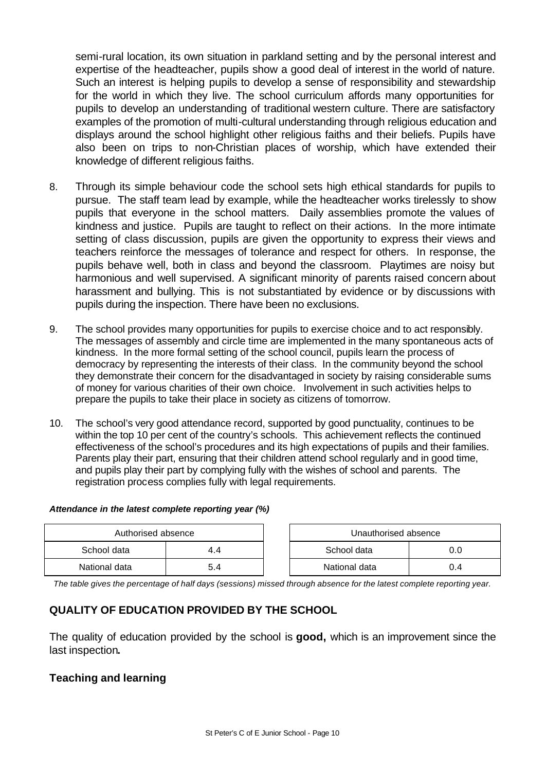semi-rural location, its own situation in parkland setting and by the personal interest and expertise of the headteacher, pupils show a good deal of interest in the world of nature. Such an interest is helping pupils to develop a sense of responsibility and stewardship for the world in which they live. The school curriculum affords many opportunities for pupils to develop an understanding of traditional western culture. There are satisfactory examples of the promotion of multi-cultural understanding through religious education and displays around the school highlight other religious faiths and their beliefs. Pupils have also been on trips to non-Christian places of worship, which have extended their knowledge of different religious faiths.

- 8. Through its simple behaviour code the school sets high ethical standards for pupils to pursue. The staff team lead by example, while the headteacher works tirelessly to show pupils that everyone in the school matters. Daily assemblies promote the values of kindness and justice. Pupils are taught to reflect on their actions. In the more intimate setting of class discussion, pupils are given the opportunity to express their views and teachers reinforce the messages of tolerance and respect for others. In response, the pupils behave well, both in class and beyond the classroom. Playtimes are noisy but harmonious and well supervised. A significant minority of parents raised concern about harassment and bullying. This is not substantiated by evidence or by discussions with pupils during the inspection. There have been no exclusions.
- 9. The school provides many opportunities for pupils to exercise choice and to act responsibly. The messages of assembly and circle time are implemented in the many spontaneous acts of kindness. In the more formal setting of the school council, pupils learn the process of democracy by representing the interests of their class. In the community beyond the school they demonstrate their concern for the disadvantaged in society by raising considerable sums of money for various charities of their own choice. Involvement in such activities helps to prepare the pupils to take their place in society as citizens of tomorrow.
- 10. The school's very good attendance record, supported by good punctuality, continues to be within the top 10 per cent of the country's schools. This achievement reflects the continued effectiveness of the school's procedures and its high expectations of pupils and their families. Parents play their part, ensuring that their children attend school regularly and in good time, and pupils play their part by complying fully with the wishes of school and parents. The registration process complies fully with legal requirements.

#### *Attendance in the latest complete reporting year (%)*

| Authorised absence |     |  | Unauthorised absence |     |  |
|--------------------|-----|--|----------------------|-----|--|
| School data        | 4.4 |  | School data          |     |  |
| National data      | 5.4 |  | National data        | 0.4 |  |

*The table gives the percentage of half days (sessions) missed through absence for the latest complete reporting year.*

# **QUALITY OF EDUCATION PROVIDED BY THE SCHOOL**

The quality of education provided by the school is **good,** which is an improvement since the last inspection**.** 

#### **Teaching and learning**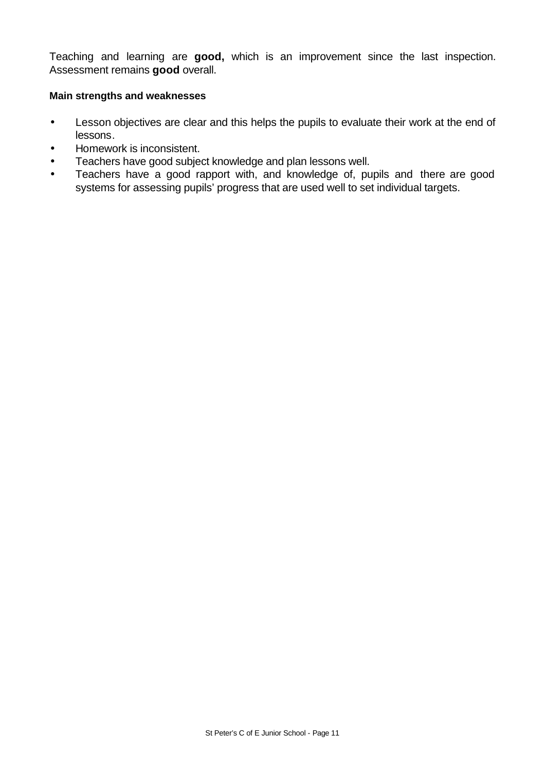Teaching and learning are **good,** which is an improvement since the last inspection. Assessment remains **good** overall.

#### **Main strengths and weaknesses**

- Lesson objectives are clear and this helps the pupils to evaluate their work at the end of lessons.
- Homework is inconsistent.
- Teachers have good subject knowledge and plan lessons well.
- Teachers have a good rapport with, and knowledge of, pupils and there are good systems for assessing pupils' progress that are used well to set individual targets.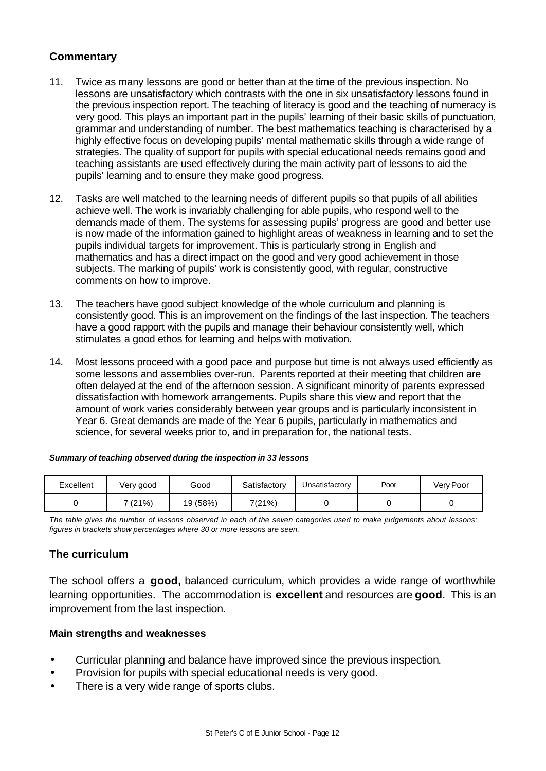# **Commentary**

- 11. Twice as many lessons are good or better than at the time of the previous inspection. No lessons are unsatisfactory which contrasts with the one in six unsatisfactory lessons found in the previous inspection report. The teaching of literacy is good and the teaching of numeracy is very good. This plays an important part in the pupils' learning of their basic skills of punctuation, grammar and understanding of number. The best mathematics teaching is characterised by a highly effective focus on developing pupils' mental mathematic skills through a wide range of strategies. The quality of support for pupils with special educational needs remains good and teaching assistants are used effectively during the main activity part of lessons to aid the pupils' learning and to ensure they make good progress.
- 12. Tasks are well matched to the learning needs of different pupils so that pupils of all abilities achieve well. The work is invariably challenging for able pupils, who respond well to the demands made of them. The systems for assessing pupils' progress are good and better use is now made of the information gained to highlight areas of weakness in learning and to set the pupils individual targets for improvement. This is particularly strong in English and mathematics and has a direct impact on the good and very good achievement in those subjects. The marking of pupils' work is consistently good, with regular, constructive comments on how to improve.
- 13. The teachers have good subject knowledge of the whole curriculum and planning is consistently good. This is an improvement on the findings of the last inspection. The teachers have a good rapport with the pupils and manage their behaviour consistently well, which stimulates a good ethos for learning and helps with motivation.
- 14. Most lessons proceed with a good pace and purpose but time is not always used efficiently as some lessons and assemblies over-run. Parents reported at their meeting that children are often delayed at the end of the afternoon session. A significant minority of parents expressed dissatisfaction with homework arrangements. Pupils share this view and report that the amount of work varies considerably between year groups and is particularly inconsistent in Year 6. Great demands are made of the Year 6 pupils, particularly in mathematics and science, for several weeks prior to, and in preparation for, the national tests.

#### *Summary of teaching observed during the inspection in 33 lessons*

| Excellent | Very good | Good     | Satisfactory | Jnsatisfactory | Poor | Very Poor |
|-----------|-----------|----------|--------------|----------------|------|-----------|
|           | 7 (21%)   | 19 (58%) | 7(21%)       |                |      |           |

*The table gives the number of lessons observed in each of the seven categories used to make judgements about lessons; figures in brackets show percentages where 30 or more lessons are seen.*

# **The curriculum**

The school offers a **good,** balanced curriculum, which provides a wide range of worthwhile learning opportunities. The accommodation is **excellent** and resources are **good**. This is an improvement from the last inspection.

#### **Main strengths and weaknesses**

- Curricular planning and balance have improved since the previous inspection.
- Provision for pupils with special educational needs is very good.
- There is a very wide range of sports clubs.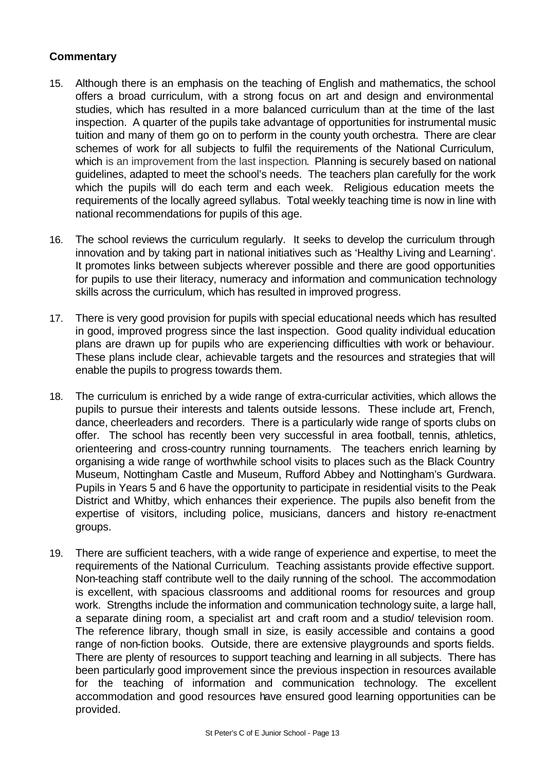- 15. Although there is an emphasis on the teaching of English and mathematics, the school offers a broad curriculum, with a strong focus on art and design and environmental studies, which has resulted in a more balanced curriculum than at the time of the last inspection. A quarter of the pupils take advantage of opportunities for instrumental music tuition and many of them go on to perform in the county youth orchestra. There are clear schemes of work for all subjects to fulfil the requirements of the National Curriculum, which is an improvement from the last inspection. Planning is securely based on national guidelines, adapted to meet the school's needs. The teachers plan carefully for the work which the pupils will do each term and each week. Religious education meets the requirements of the locally agreed syllabus. Total weekly teaching time is now in line with national recommendations for pupils of this age.
- 16. The school reviews the curriculum regularly. It seeks to develop the curriculum through innovation and by taking part in national initiatives such as 'Healthy Living and Learning'. It promotes links between subjects wherever possible and there are good opportunities for pupils to use their literacy, numeracy and information and communication technology skills across the curriculum, which has resulted in improved progress.
- 17. There is very good provision for pupils with special educational needs which has resulted in good, improved progress since the last inspection. Good quality individual education plans are drawn up for pupils who are experiencing difficulties with work or behaviour. These plans include clear, achievable targets and the resources and strategies that will enable the pupils to progress towards them.
- 18. The curriculum is enriched by a wide range of extra-curricular activities, which allows the pupils to pursue their interests and talents outside lessons. These include art, French, dance, cheerleaders and recorders. There is a particularly wide range of sports clubs on offer. The school has recently been very successful in area football, tennis, athletics, orienteering and cross-country running tournaments. The teachers enrich learning by organising a wide range of worthwhile school visits to places such as the Black Country Museum, Nottingham Castle and Museum, Rufford Abbey and Nottingham's Gurdwara. Pupils in Years 5 and 6 have the opportunity to participate in residential visits to the Peak District and Whitby, which enhances their experience. The pupils also benefit from the expertise of visitors, including police, musicians, dancers and history re-enactment groups.
- 19. There are sufficient teachers, with a wide range of experience and expertise, to meet the requirements of the National Curriculum. Teaching assistants provide effective support. Non-teaching staff contribute well to the daily running of the school. The accommodation is excellent, with spacious classrooms and additional rooms for resources and group work. Strengths include the information and communication technology suite, a large hall, a separate dining room, a specialist art and craft room and a studio/ television room. The reference library, though small in size, is easily accessible and contains a good range of non-fiction books. Outside, there are extensive playgrounds and sports fields. There are plenty of resources to support teaching and learning in all subjects. There has been particularly good improvement since the previous inspection in resources available for the teaching of information and communication technology. The excellent accommodation and good resources have ensured good learning opportunities can be provided.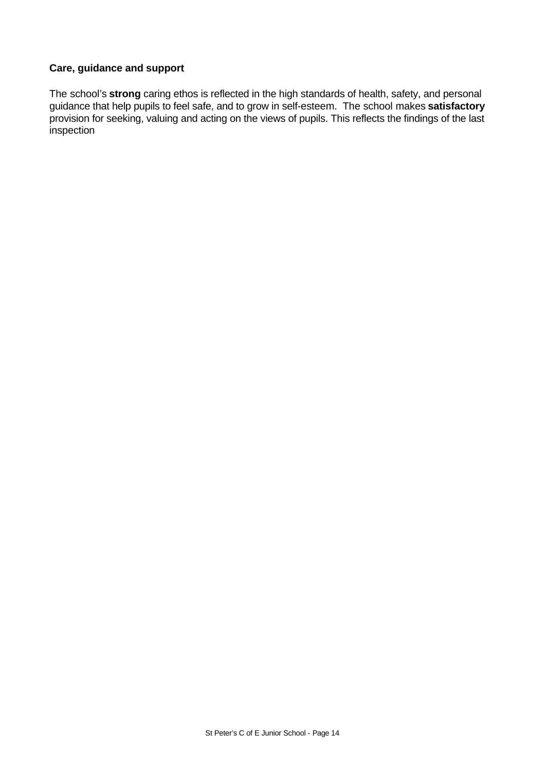# **Care, guidance and support**

The school's **strong** caring ethos is reflected in the high standards of health, safety, and personal guidance that help pupils to feel safe, and to grow in self-esteem. The school makes **satisfactory** provision for seeking, valuing and acting on the views of pupils. This reflects the findings of the last inspection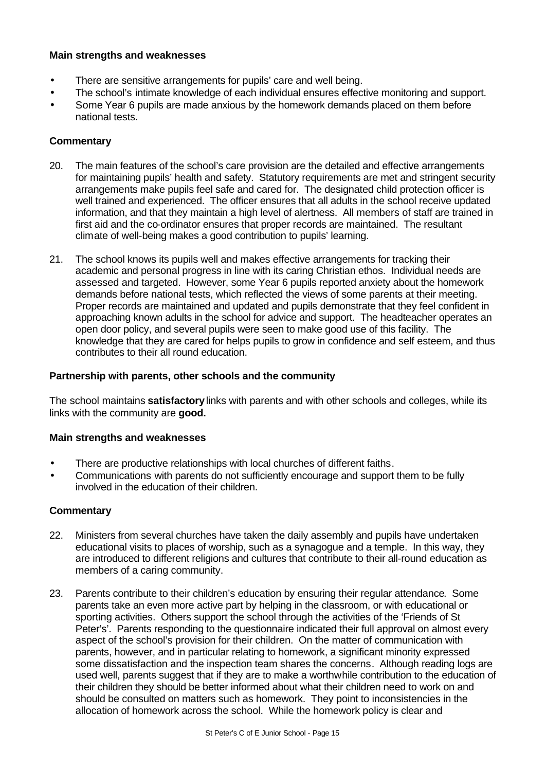#### **Main strengths and weaknesses**

- There are sensitive arrangements for pupils' care and well being.
- The school's intimate knowledge of each individual ensures effective monitoring and support.
- Some Year 6 pupils are made anxious by the homework demands placed on them before national tests.

#### **Commentary**

- 20. The main features of the school's care provision are the detailed and effective arrangements for maintaining pupils' health and safety. Statutory requirements are met and stringent security arrangements make pupils feel safe and cared for. The designated child protection officer is well trained and experienced. The officer ensures that all adults in the school receive updated information, and that they maintain a high level of alertness. All members of staff are trained in first aid and the co-ordinator ensures that proper records are maintained. The resultant climate of well-being makes a good contribution to pupils' learning.
- 21. The school knows its pupils well and makes effective arrangements for tracking their academic and personal progress in line with its caring Christian ethos. Individual needs are assessed and targeted. However, some Year 6 pupils reported anxiety about the homework demands before national tests, which reflected the views of some parents at their meeting. Proper records are maintained and updated and pupils demonstrate that they feel confident in approaching known adults in the school for advice and support. The headteacher operates an open door policy, and several pupils were seen to make good use of this facility. The knowledge that they are cared for helps pupils to grow in confidence and self esteem, and thus contributes to their all round education.

#### **Partnership with parents, other schools and the community**

The school maintains **satisfactory**links with parents and with other schools and colleges, while its links with the community are **good.**

#### **Main strengths and weaknesses**

- There are productive relationships with local churches of different faiths.
- Communications with parents do not sufficiently encourage and support them to be fully involved in the education of their children.

- 22. Ministers from several churches have taken the daily assembly and pupils have undertaken educational visits to places of worship, such as a synagogue and a temple. In this way, they are introduced to different religions and cultures that contribute to their all-round education as members of a caring community.
- 23. Parents contribute to their children's education by ensuring their regular attendance. Some parents take an even more active part by helping in the classroom, or with educational or sporting activities. Others support the school through the activities of the 'Friends of St Peter's'. Parents responding to the questionnaire indicated their full approval on almost every aspect of the school's provision for their children. On the matter of communication with parents, however, and in particular relating to homework, a significant minority expressed some dissatisfaction and the inspection team shares the concerns. Although reading logs are used well, parents suggest that if they are to make a worthwhile contribution to the education of their children they should be better informed about what their children need to work on and should be consulted on matters such as homework. They point to inconsistencies in the allocation of homework across the school. While the homework policy is clear and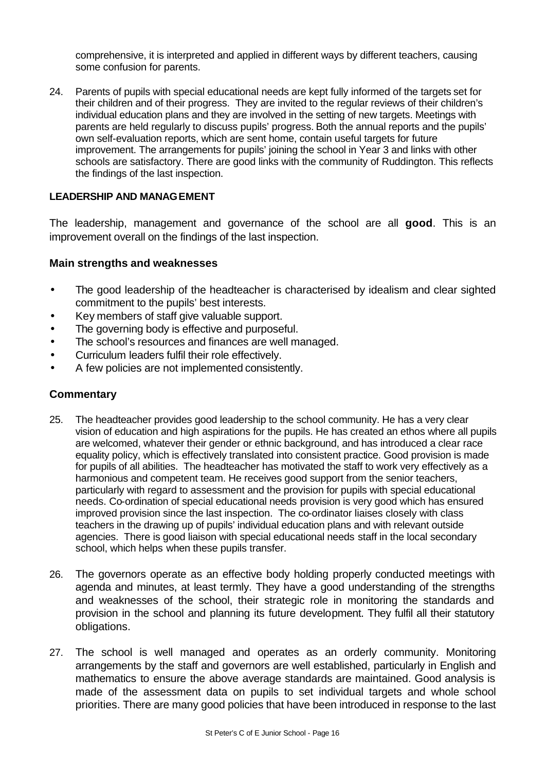comprehensive, it is interpreted and applied in different ways by different teachers, causing some confusion for parents.

24. Parents of pupils with special educational needs are kept fully informed of the targets set for their children and of their progress. They are invited to the regular reviews of their children's individual education plans and they are involved in the setting of new targets. Meetings with parents are held regularly to discuss pupils' progress. Both the annual reports and the pupils' own self-evaluation reports, which are sent home, contain useful targets for future improvement. The arrangements for pupils' joining the school in Year 3 and links with other schools are satisfactory. There are good links with the community of Ruddington. This reflects the findings of the last inspection.

# **LEADERSHIP AND MANAGEMENT**

The leadership, management and governance of the school are all **good**. This is an improvement overall on the findings of the last inspection.

#### **Main strengths and weaknesses**

- The good leadership of the headteacher is characterised by idealism and clear sighted commitment to the pupils' best interests.
- Key members of staff give valuable support.
- The governing body is effective and purposeful.
- The school's resources and finances are well managed.
- Curriculum leaders fulfil their role effectively.
- A few policies are not implemented consistently.

- 25. The headteacher provides good leadership to the school community. He has a very clear vision of education and high aspirations for the pupils. He has created an ethos where all pupils are welcomed, whatever their gender or ethnic background, and has introduced a clear race equality policy, which is effectively translated into consistent practice. Good provision is made for pupils of all abilities. The headteacher has motivated the staff to work very effectively as a harmonious and competent team. He receives good support from the senior teachers, particularly with regard to assessment and the provision for pupils with special educational needs. Co-ordination of special educational needs provision is very good which has ensured improved provision since the last inspection. The co-ordinator liaises closely with class teachers in the drawing up of pupils' individual education plans and with relevant outside agencies. There is good liaison with special educational needs staff in the local secondary school, which helps when these pupils transfer.
- 26. The governors operate as an effective body holding properly conducted meetings with agenda and minutes, at least termly. They have a good understanding of the strengths and weaknesses of the school, their strategic role in monitoring the standards and provision in the school and planning its future development. They fulfil all their statutory obligations.
- 27. The school is well managed and operates as an orderly community. Monitoring arrangements by the staff and governors are well established, particularly in English and mathematics to ensure the above average standards are maintained. Good analysis is made of the assessment data on pupils to set individual targets and whole school priorities. There are many good policies that have been introduced in response to the last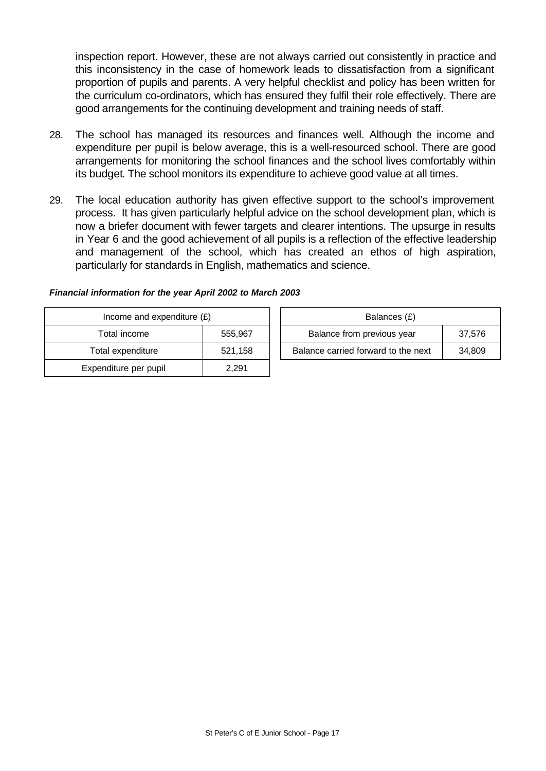inspection report. However, these are not always carried out consistently in practice and this inconsistency in the case of homework leads to dissatisfaction from a significant proportion of pupils and parents. A very helpful checklist and policy has been written for the curriculum co-ordinators, which has ensured they fulfil their role effectively. There are good arrangements for the continuing development and training needs of staff.

- 28. The school has managed its resources and finances well. Although the income and expenditure per pupil is below average, this is a well-resourced school. There are good arrangements for monitoring the school finances and the school lives comfortably within its budget. The school monitors its expenditure to achieve good value at all times.
- 29. The local education authority has given effective support to the school's improvement process. It has given particularly helpful advice on the school development plan, which is now a briefer document with fewer targets and clearer intentions. The upsurge in results in Year 6 and the good achievement of all pupils is a reflection of the effective leadership and management of the school, which has created an ethos of high aspiration, particularly for standards in English, mathematics and science.

| Income and expenditure $(E)$ |         | Balances (£)                        |        |
|------------------------------|---------|-------------------------------------|--------|
| Total income                 | 555,967 | Balance from previous year          | 37,576 |
| Total expenditure            | 521,158 | Balance carried forward to the next | 34,809 |
| Expenditure per pupil        | 2,291   |                                     |        |

#### *Financial information for the year April 2002 to March 2003*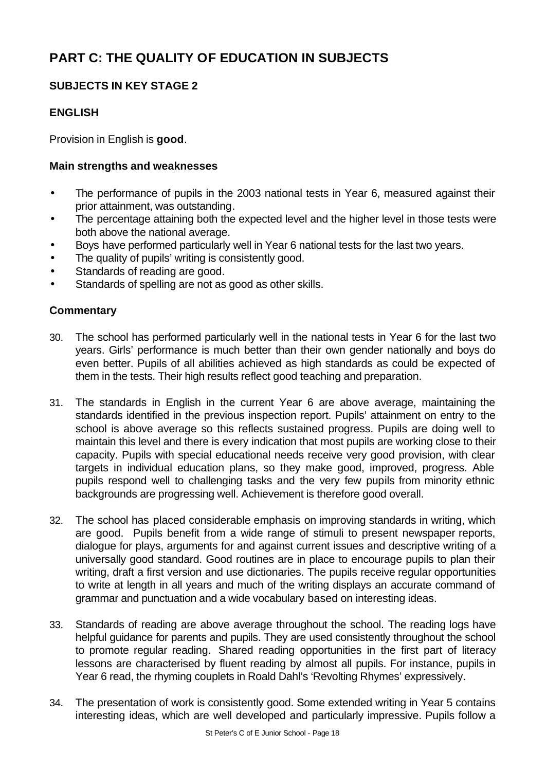# **PART C: THE QUALITY OF EDUCATION IN SUBJECTS**

# **SUBJECTS IN KEY STAGE 2**

# **ENGLISH**

Provision in English is **good**.

### **Main strengths and weaknesses**

- The performance of pupils in the 2003 national tests in Year 6, measured against their prior attainment, was outstanding.
- The percentage attaining both the expected level and the higher level in those tests were both above the national average.
- Boys have performed particularly well in Year 6 national tests for the last two years.
- The quality of pupils' writing is consistently good.
- Standards of reading are good.
- Standards of spelling are not as good as other skills.

- 30. The school has performed particularly well in the national tests in Year 6 for the last two years. Girls' performance is much better than their own gender nationally and boys do even better. Pupils of all abilities achieved as high standards as could be expected of them in the tests. Their high results reflect good teaching and preparation.
- 31. The standards in English in the current Year 6 are above average, maintaining the standards identified in the previous inspection report. Pupils' attainment on entry to the school is above average so this reflects sustained progress. Pupils are doing well to maintain this level and there is every indication that most pupils are working close to their capacity. Pupils with special educational needs receive very good provision, with clear targets in individual education plans, so they make good, improved, progress. Able pupils respond well to challenging tasks and the very few pupils from minority ethnic backgrounds are progressing well. Achievement is therefore good overall.
- 32. The school has placed considerable emphasis on improving standards in writing, which are good. Pupils benefit from a wide range of stimuli to present newspaper reports, dialogue for plays, arguments for and against current issues and descriptive writing of a universally good standard. Good routines are in place to encourage pupils to plan their writing, draft a first version and use dictionaries. The pupils receive regular opportunities to write at length in all years and much of the writing displays an accurate command of grammar and punctuation and a wide vocabulary based on interesting ideas.
- 33. Standards of reading are above average throughout the school. The reading logs have helpful guidance for parents and pupils. They are used consistently throughout the school to promote regular reading. Shared reading opportunities in the first part of literacy lessons are characterised by fluent reading by almost all pupils. For instance, pupils in Year 6 read, the rhyming couplets in Roald Dahl's 'Revolting Rhymes' expressively.
- 34. The presentation of work is consistently good. Some extended writing in Year 5 contains interesting ideas, which are well developed and particularly impressive. Pupils follow a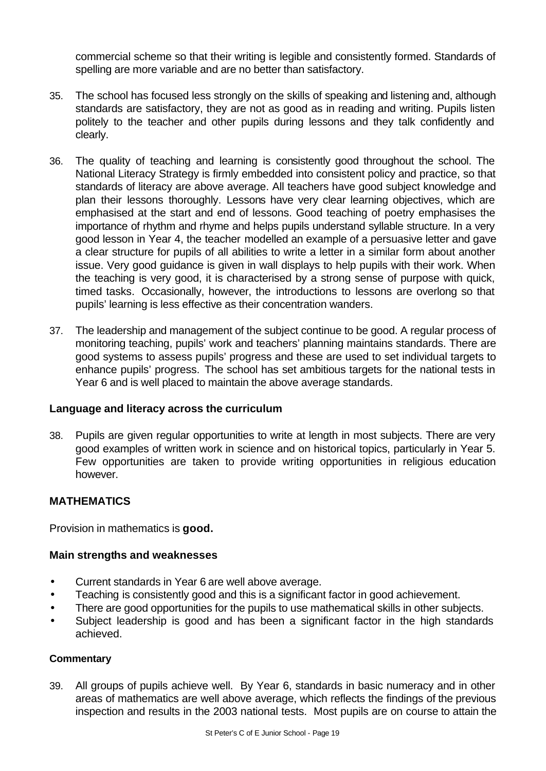commercial scheme so that their writing is legible and consistently formed. Standards of spelling are more variable and are no better than satisfactory.

- 35. The school has focused less strongly on the skills of speaking and listening and, although standards are satisfactory, they are not as good as in reading and writing. Pupils listen politely to the teacher and other pupils during lessons and they talk confidently and clearly.
- 36. The quality of teaching and learning is consistently good throughout the school. The National Literacy Strategy is firmly embedded into consistent policy and practice, so that standards of literacy are above average. All teachers have good subject knowledge and plan their lessons thoroughly. Lessons have very clear learning objectives, which are emphasised at the start and end of lessons. Good teaching of poetry emphasises the importance of rhythm and rhyme and helps pupils understand syllable structure. In a very good lesson in Year 4, the teacher modelled an example of a persuasive letter and gave a clear structure for pupils of all abilities to write a letter in a similar form about another issue. Very good guidance is given in wall displays to help pupils with their work. When the teaching is very good, it is characterised by a strong sense of purpose with quick, timed tasks. Occasionally, however, the introductions to lessons are overlong so that pupils' learning is less effective as their concentration wanders.
- 37. The leadership and management of the subject continue to be good. A regular process of monitoring teaching, pupils' work and teachers' planning maintains standards. There are good systems to assess pupils' progress and these are used to set individual targets to enhance pupils' progress. The school has set ambitious targets for the national tests in Year 6 and is well placed to maintain the above average standards.

# **Language and literacy across the curriculum**

38. Pupils are given regular opportunities to write at length in most subjects. There are very good examples of written work in science and on historical topics, particularly in Year 5. Few opportunities are taken to provide writing opportunities in religious education however.

# **MATHEMATICS**

Provision in mathematics is **good.**

#### **Main strengths and weaknesses**

- Current standards in Year 6 are well above average.
- Teaching is consistently good and this is a significant factor in good achievement.
- There are good opportunities for the pupils to use mathematical skills in other subjects.
- Subject leadership is good and has been a significant factor in the high standards achieved.

#### **Commentary**

39. All groups of pupils achieve well. By Year 6, standards in basic numeracy and in other areas of mathematics are well above average, which reflects the findings of the previous inspection and results in the 2003 national tests. Most pupils are on course to attain the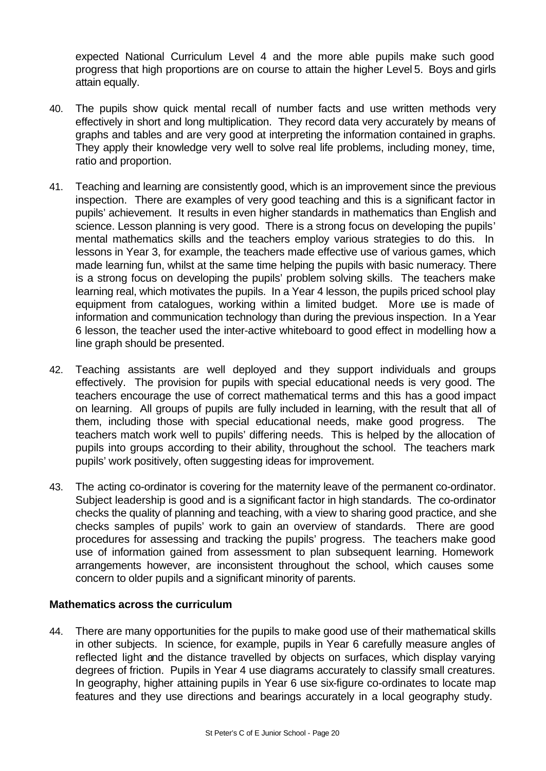expected National Curriculum Level 4 and the more able pupils make such good progress that high proportions are on course to attain the higher Level 5. Boys and girls attain equally.

- 40. The pupils show quick mental recall of number facts and use written methods very effectively in short and long multiplication. They record data very accurately by means of graphs and tables and are very good at interpreting the information contained in graphs. They apply their knowledge very well to solve real life problems, including money, time, ratio and proportion.
- 41. Teaching and learning are consistently good, which is an improvement since the previous inspection. There are examples of very good teaching and this is a significant factor in pupils' achievement. It results in even higher standards in mathematics than English and science. Lesson planning is very good. There is a strong focus on developing the pupils' mental mathematics skills and the teachers employ various strategies to do this. In lessons in Year 3, for example, the teachers made effective use of various games, which made learning fun, whilst at the same time helping the pupils with basic numeracy. There is a strong focus on developing the pupils' problem solving skills. The teachers make learning real, which motivates the pupils. In a Year 4 lesson, the pupils priced school play equipment from catalogues, working within a limited budget.More use is made of information and communication technology than during the previous inspection. In a Year 6 lesson, the teacher used the inter-active whiteboard to good effect in modelling how a line graph should be presented.
- 42. Teaching assistants are well deployed and they support individuals and groups effectively. The provision for pupils with special educational needs is very good. The teachers encourage the use of correct mathematical terms and this has a good impact on learning. All groups of pupils are fully included in learning, with the result that all of them, including those with special educational needs, make good progress. The teachers match work well to pupils' differing needs. This is helped by the allocation of pupils into groups according to their ability, throughout the school. The teachers mark pupils' work positively, often suggesting ideas for improvement.
- 43. The acting co-ordinator is covering for the maternity leave of the permanent co-ordinator. Subject leadership is good and is a significant factor in high standards. The co-ordinator checks the quality of planning and teaching, with a view to sharing good practice, and she checks samples of pupils' work to gain an overview of standards. There are good procedures for assessing and tracking the pupils' progress. The teachers make good use of information gained from assessment to plan subsequent learning. Homework arrangements however, are inconsistent throughout the school, which causes some concern to older pupils and a significant minority of parents.

# **Mathematics across the curriculum**

44. There are many opportunities for the pupils to make good use of their mathematical skills in other subjects. In science, for example, pupils in Year 6 carefully measure angles of reflected light and the distance travelled by objects on surfaces, which display varying degrees of friction. Pupils in Year 4 use diagrams accurately to classify small creatures. In geography, higher attaining pupils in Year 6 use six-figure co-ordinates to locate map features and they use directions and bearings accurately in a local geography study.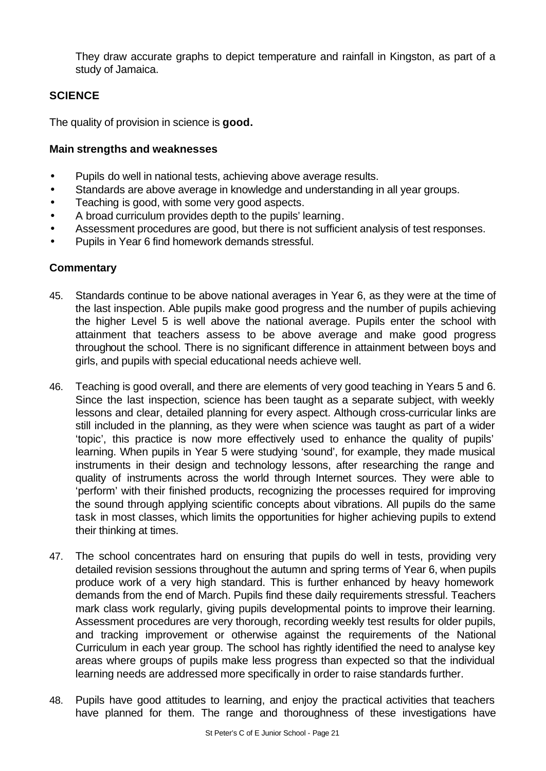They draw accurate graphs to depict temperature and rainfall in Kingston, as part of a study of Jamaica.

# **SCIENCE**

The quality of provision in science is **good.**

#### **Main strengths and weaknesses**

- Pupils do well in national tests, achieving above average results.
- Standards are above average in knowledge and understanding in all year groups.
- Teaching is good, with some very good aspects.
- A broad curriculum provides depth to the pupils' learning.
- Assessment procedures are good, but there is not sufficient analysis of test responses.
- Pupils in Year 6 find homework demands stressful.

- 45. Standards continue to be above national averages in Year 6, as they were at the time of the last inspection. Able pupils make good progress and the number of pupils achieving the higher Level 5 is well above the national average. Pupils enter the school with attainment that teachers assess to be above average and make good progress throughout the school. There is no significant difference in attainment between boys and girls, and pupils with special educational needs achieve well.
- 46. Teaching is good overall, and there are elements of very good teaching in Years 5 and 6. Since the last inspection, science has been taught as a separate subject, with weekly lessons and clear, detailed planning for every aspect. Although cross-curricular links are still included in the planning, as they were when science was taught as part of a wider 'topic', this practice is now more effectively used to enhance the quality of pupils' learning. When pupils in Year 5 were studying 'sound', for example, they made musical instruments in their design and technology lessons, after researching the range and quality of instruments across the world through Internet sources. They were able to 'perform' with their finished products, recognizing the processes required for improving the sound through applying scientific concepts about vibrations. All pupils do the same task in most classes, which limits the opportunities for higher achieving pupils to extend their thinking at times.
- 47. The school concentrates hard on ensuring that pupils do well in tests, providing very detailed revision sessions throughout the autumn and spring terms of Year 6, when pupils produce work of a very high standard. This is further enhanced by heavy homework demands from the end of March. Pupils find these daily requirements stressful. Teachers mark class work regularly, giving pupils developmental points to improve their learning. Assessment procedures are very thorough, recording weekly test results for older pupils, and tracking improvement or otherwise against the requirements of the National Curriculum in each year group. The school has rightly identified the need to analyse key areas where groups of pupils make less progress than expected so that the individual learning needs are addressed more specifically in order to raise standards further.
- 48. Pupils have good attitudes to learning, and enjoy the practical activities that teachers have planned for them. The range and thoroughness of these investigations have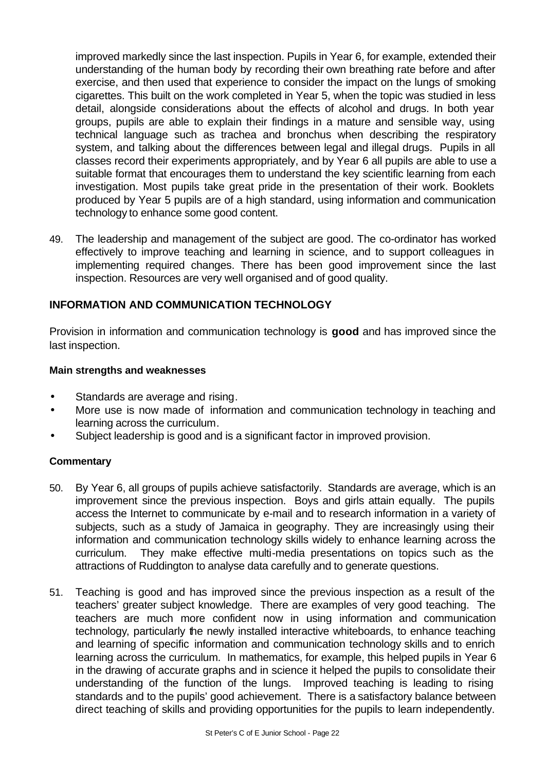improved markedly since the last inspection. Pupils in Year 6, for example, extended their understanding of the human body by recording their own breathing rate before and after exercise, and then used that experience to consider the impact on the lungs of smoking cigarettes. This built on the work completed in Year 5, when the topic was studied in less detail, alongside considerations about the effects of alcohol and drugs. In both year groups, pupils are able to explain their findings in a mature and sensible way, using technical language such as trachea and bronchus when describing the respiratory system, and talking about the differences between legal and illegal drugs. Pupils in all classes record their experiments appropriately, and by Year 6 all pupils are able to use a suitable format that encourages them to understand the key scientific learning from each investigation. Most pupils take great pride in the presentation of their work. Booklets produced by Year 5 pupils are of a high standard, using information and communication technology to enhance some good content.

49. The leadership and management of the subject are good. The co-ordinator has worked effectively to improve teaching and learning in science, and to support colleagues in implementing required changes. There has been good improvement since the last inspection. Resources are very well organised and of good quality.

# **INFORMATION AND COMMUNICATION TECHNOLOGY**

Provision in information and communication technology is **good** and has improved since the last inspection.

### **Main strengths and weaknesses**

- Standards are average and rising.
- More use is now made of information and communication technology in teaching and learning across the curriculum.
- Subject leadership is good and is a significant factor in improved provision.

- 50. By Year 6, all groups of pupils achieve satisfactorily. Standards are average, which is an improvement since the previous inspection. Boys and girls attain equally. The pupils access the Internet to communicate by e-mail and to research information in a variety of subjects, such as a study of Jamaica in geography. They are increasingly using their information and communication technology skills widely to enhance learning across the curriculum. They make effective multi-media presentations on topics such as the attractions of Ruddington to analyse data carefully and to generate questions.
- 51. Teaching is good and has improved since the previous inspection as a result of the teachers' greater subject knowledge. There are examples of very good teaching. The teachers are much more confident now in using information and communication technology, particularly the newly installed interactive whiteboards, to enhance teaching and learning of specific information and communication technology skills and to enrich learning across the curriculum. In mathematics, for example, this helped pupils in Year 6 in the drawing of accurate graphs and in science it helped the pupils to consolidate their understanding of the function of the lungs. Improved teaching is leading to rising standards and to the pupils' good achievement. There is a satisfactory balance between direct teaching of skills and providing opportunities for the pupils to learn independently.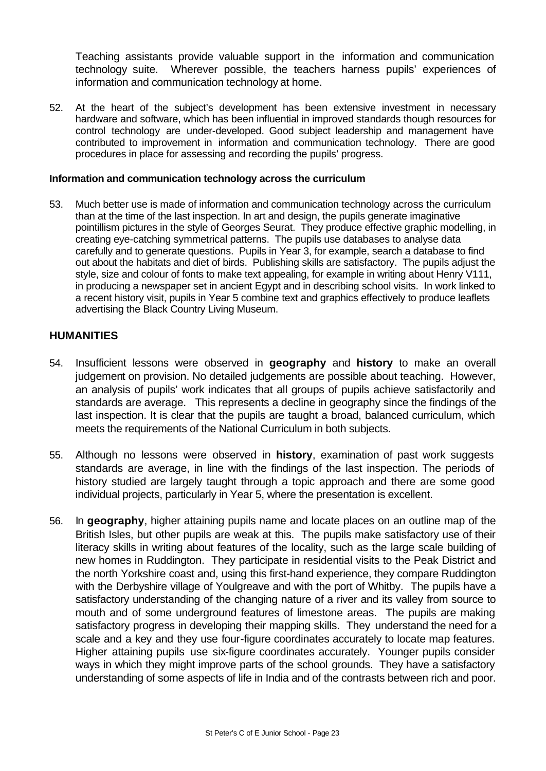Teaching assistants provide valuable support in the information and communication technology suite. Wherever possible, the teachers harness pupils' experiences of information and communication technology at home.

52. At the heart of the subject's development has been extensive investment in necessary hardware and software, which has been influential in improved standards though resources for control technology are under-developed. Good subject leadership and management have contributed to improvement in information and communication technology. There are good procedures in place for assessing and recording the pupils' progress.

### **Information and communication technology across the curriculum**

53. Much better use is made of information and communication technology across the curriculum than at the time of the last inspection. In art and design, the pupils generate imaginative pointillism pictures in the style of Georges Seurat. They produce effective graphic modelling, in creating eye-catching symmetrical patterns. The pupils use databases to analyse data carefully and to generate questions. Pupils in Year 3, for example, search a database to find out about the habitats and diet of birds. Publishing skills are satisfactory. The pupils adjust the style, size and colour of fonts to make text appealing, for example in writing about Henry V111, in producing a newspaper set in ancient Egypt and in describing school visits. In work linked to a recent history visit, pupils in Year 5 combine text and graphics effectively to produce leaflets advertising the Black Country Living Museum.

### **HUMANITIES**

- 54. Insufficient lessons were observed in **geography** and **history** to make an overall judgement on provision. No detailed judgements are possible about teaching. However, an analysis of pupils' work indicates that all groups of pupils achieve satisfactorily and standards are average. This represents a decline in geography since the findings of the last inspection. It is clear that the pupils are taught a broad, balanced curriculum, which meets the requirements of the National Curriculum in both subjects.
- 55. Although no lessons were observed in **history**, examination of past work suggests standards are average, in line with the findings of the last inspection. The periods of history studied are largely taught through a topic approach and there are some good individual projects, particularly in Year 5, where the presentation is excellent.
- 56. In **geography**, higher attaining pupils name and locate places on an outline map of the British Isles, but other pupils are weak at this. The pupils make satisfactory use of their literacy skills in writing about features of the locality, such as the large scale building of new homes in Ruddington. They participate in residential visits to the Peak District and the north Yorkshire coast and, using this first-hand experience, they compare Ruddington with the Derbyshire village of Youlgreave and with the port of Whitby. The pupils have a satisfactory understanding of the changing nature of a river and its valley from source to mouth and of some underground features of limestone areas. The pupils are making satisfactory progress in developing their mapping skills. They understand the need for a scale and a key and they use four-figure coordinates accurately to locate map features. Higher attaining pupils use six-figure coordinates accurately. Younger pupils consider ways in which they might improve parts of the school grounds. They have a satisfactory understanding of some aspects of life in India and of the contrasts between rich and poor.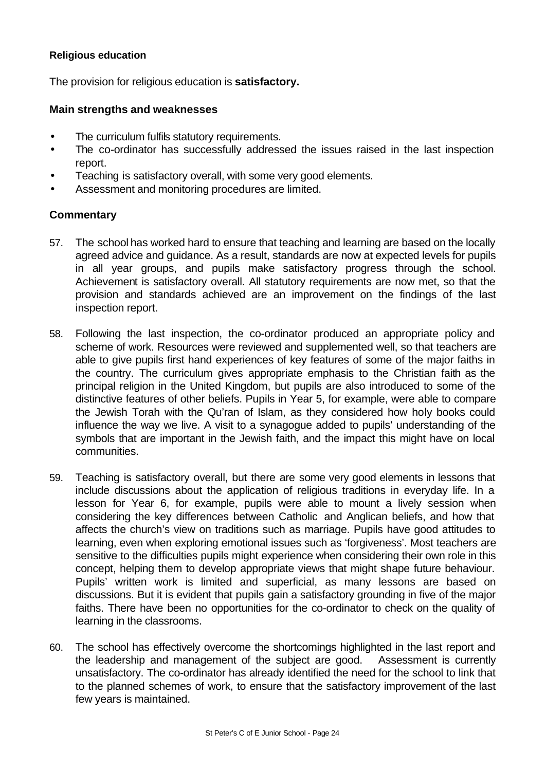### **Religious education**

The provision for religious education is **satisfactory.**

### **Main strengths and weaknesses**

- The curriculum fulfils statutory requirements.
- The co-ordinator has successfully addressed the issues raised in the last inspection report.
- Teaching is satisfactory overall, with some very good elements.
- Assessment and monitoring procedures are limited.

- 57. The school has worked hard to ensure that teaching and learning are based on the locally agreed advice and guidance. As a result, standards are now at expected levels for pupils in all year groups, and pupils make satisfactory progress through the school. Achievement is satisfactory overall. All statutory requirements are now met, so that the provision and standards achieved are an improvement on the findings of the last inspection report.
- 58. Following the last inspection, the co-ordinator produced an appropriate policy and scheme of work. Resources were reviewed and supplemented well, so that teachers are able to give pupils first hand experiences of key features of some of the major faiths in the country. The curriculum gives appropriate emphasis to the Christian faith as the principal religion in the United Kingdom, but pupils are also introduced to some of the distinctive features of other beliefs. Pupils in Year 5, for example, were able to compare the Jewish Torah with the Qu'ran of Islam, as they considered how holy books could influence the way we live. A visit to a synagogue added to pupils' understanding of the symbols that are important in the Jewish faith, and the impact this might have on local communities.
- 59. Teaching is satisfactory overall, but there are some very good elements in lessons that include discussions about the application of religious traditions in everyday life. In a lesson for Year 6, for example, pupils were able to mount a lively session when considering the key differences between Catholic and Anglican beliefs, and how that affects the church's view on traditions such as marriage. Pupils have good attitudes to learning, even when exploring emotional issues such as 'forgiveness'. Most teachers are sensitive to the difficulties pupils might experience when considering their own role in this concept, helping them to develop appropriate views that might shape future behaviour. Pupils' written work is limited and superficial, as many lessons are based on discussions. But it is evident that pupils gain a satisfactory grounding in five of the major faiths. There have been no opportunities for the co-ordinator to check on the quality of learning in the classrooms.
- 60. The school has effectively overcome the shortcomings highlighted in the last report and the leadership and management of the subject are good. Assessment is currently unsatisfactory. The co-ordinator has already identified the need for the school to link that to the planned schemes of work, to ensure that the satisfactory improvement of the last few years is maintained.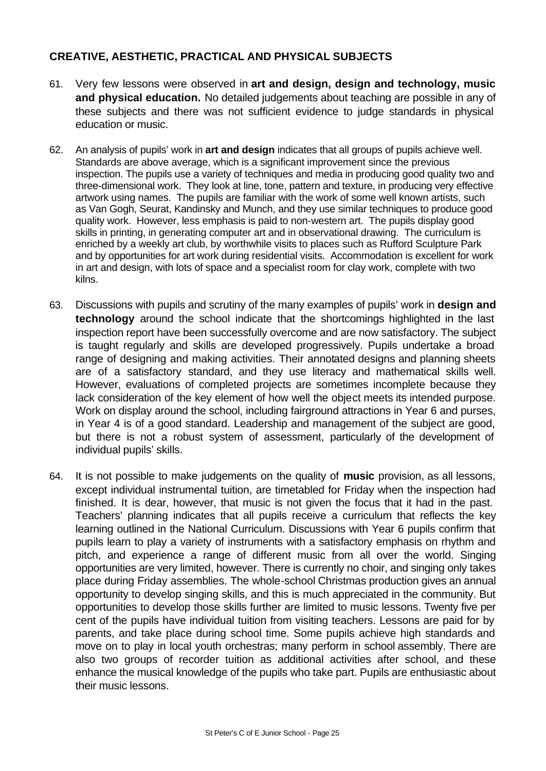# **CREATIVE, AESTHETIC, PRACTICAL AND PHYSICAL SUBJECTS**

- 61. Very few lessons were observed in **art and design, design and technology, music and physical education.** No detailed judgements about teaching are possible in any of these subjects and there was not sufficient evidence to judge standards in physical education or music.
- 62. An analysis of pupils' work in **art and design** indicates that all groups of pupils achieve well. Standards are above average, which is a significant improvement since the previous inspection. The pupils use a variety of techniques and media in producing good quality two and three-dimensional work. They look at line, tone, pattern and texture, in producing very effective artwork using names. The pupils are familiar with the work of some well known artists, such as Van Gogh, Seurat, Kandinsky and Munch, and they use similar techniques to produce good quality work. However, less emphasis is paid to non-western art. The pupils display good skills in printing, in generating computer art and in observational drawing. The curriculum is enriched by a weekly art club, by worthwhile visits to places such as Rufford Sculpture Park and by opportunities for art work during residential visits. Accommodation is excellent for work in art and design, with lots of space and a specialist room for clay work, complete with two kilns.
- 63. Discussions with pupils and scrutiny of the many examples of pupils' work in **design and technology** around the school indicate that the shortcomings highlighted in the last inspection report have been successfully overcome and are now satisfactory. The subject is taught regularly and skills are developed progressively. Pupils undertake a broad range of designing and making activities. Their annotated designs and planning sheets are of a satisfactory standard, and they use literacy and mathematical skills well. However, evaluations of completed projects are sometimes incomplete because they lack consideration of the key element of how well the object meets its intended purpose. Work on display around the school, including fairground attractions in Year 6 and purses, in Year 4 is of a good standard. Leadership and management of the subject are good, but there is not a robust system of assessment, particularly of the development of individual pupils' skills.
- 64. It is not possible to make judgements on the quality of **music** provision, as all lessons, except individual instrumental tuition, are timetabled for Friday when the inspection had finished. It is dear, however, that music is not given the focus that it had in the past. Teachers' planning indicates that all pupils receive a curriculum that reflects the key learning outlined in the National Curriculum. Discussions with Year 6 pupils confirm that pupils learn to play a variety of instruments with a satisfactory emphasis on rhythm and pitch, and experience a range of different music from all over the world. Singing opportunities are very limited, however. There is currently no choir, and singing only takes place during Friday assemblies. The whole-school Christmas production gives an annual opportunity to develop singing skills, and this is much appreciated in the community. But opportunities to develop those skills further are limited to music lessons. Twenty five per cent of the pupils have individual tuition from visiting teachers. Lessons are paid for by parents, and take place during school time. Some pupils achieve high standards and move on to play in local youth orchestras; many perform in school assembly. There are also two groups of recorder tuition as additional activities after school, and these enhance the musical knowledge of the pupils who take part. Pupils are enthusiastic about their music lessons.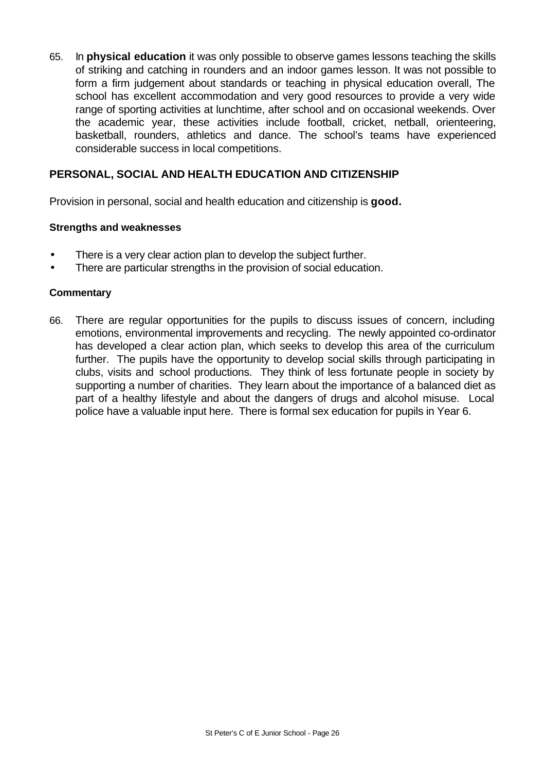65. In **physical education** it was only possible to observe games lessons teaching the skills of striking and catching in rounders and an indoor games lesson. It was not possible to form a firm judgement about standards or teaching in physical education overall, The school has excellent accommodation and very good resources to provide a very wide range of sporting activities at lunchtime, after school and on occasional weekends. Over the academic year, these activities include football, cricket, netball, orienteering, basketball, rounders, athletics and dance. The school's teams have experienced considerable success in local competitions.

# **PERSONAL, SOCIAL AND HEALTH EDUCATION AND CITIZENSHIP**

Provision in personal, social and health education and citizenship is **good.**

#### **Strengths and weaknesses**

- There is a very clear action plan to develop the subject further.
- There are particular strengths in the provision of social education.

#### **Commentary**

66. There are regular opportunities for the pupils to discuss issues of concern, including emotions, environmental improvements and recycling. The newly appointed co-ordinator has developed a clear action plan, which seeks to develop this area of the curriculum further. The pupils have the opportunity to develop social skills through participating in clubs, visits and school productions. They think of less fortunate people in society by supporting a number of charities. They learn about the importance of a balanced diet as part of a healthy lifestyle and about the dangers of drugs and alcohol misuse. Local police have a valuable input here. There is formal sex education for pupils in Year 6.